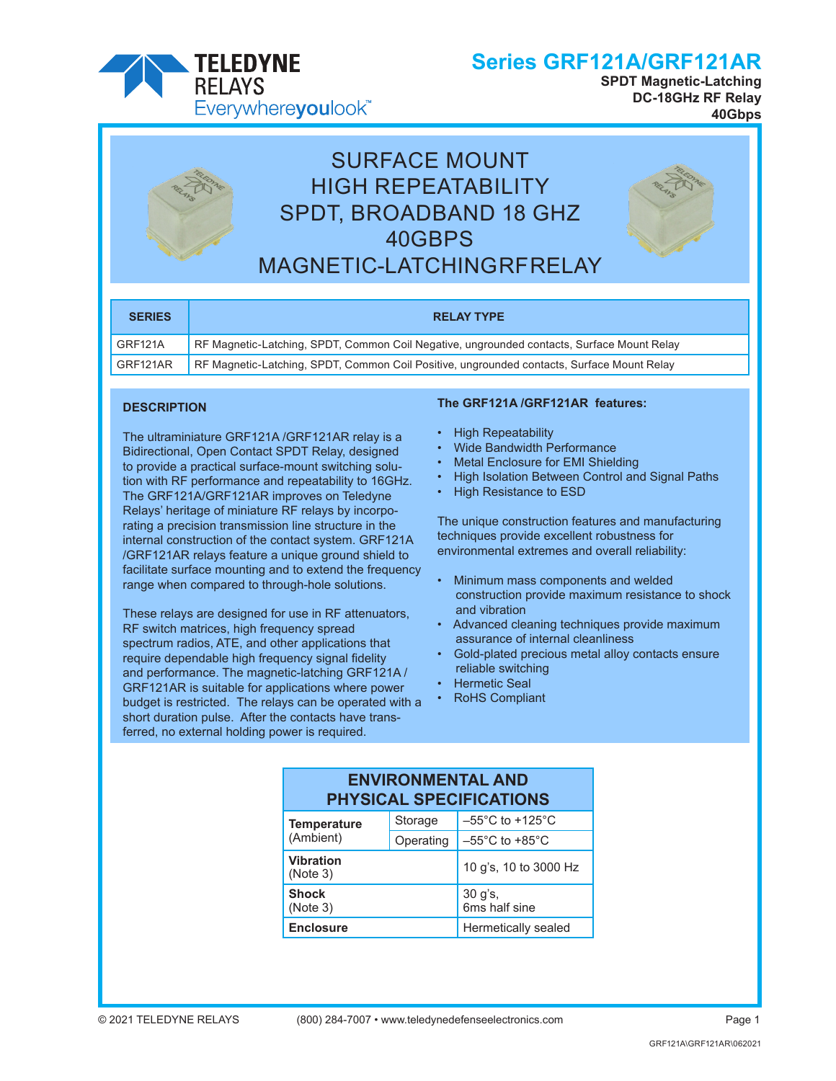

**SPDT Magnetic-Latching DC-18GHz RF Relay 40Gbps**



# SURFACE MOUNT HIGH REPEATABILITY SPDT, BROADBAND 18 GHZ 40GBPS MAGNETIC-LATCHING RF RELAY



| <b>SERIES</b> | <b>RELAY TYPE</b>                                                                          |
|---------------|--------------------------------------------------------------------------------------------|
| GRF121A       | RF Magnetic-Latching, SPDT, Common Coil Negative, ungrounded contacts, Surface Mount Relay |
| GRF121AR      | RF Magnetic-Latching, SPDT, Common Coil Positive, ungrounded contacts, Surface Mount Relay |

#### **DESCRIPTION**

The ultraminiature GRF121A /GRF121AR relay is a Bidirectional, Open Contact SPDT Relay, designed to provide a practical surface-mount switching solution with RF performance and repeatability to 16GHz. The GRF121A/GRF121AR improves on Teledyne Relays' heritage of miniature RF relays by incorporating a precision transmission line structure in the internal construction of the contact system. GRF121A /GRF121AR relays feature a unique ground shield to facilitate surface mounting and to extend the frequency range when compared to through-hole solutions.

These relays are designed for use in RF attenuators, RF switch matrices, high frequency spread spectrum radios, ATE, and other applications that require dependable high frequency signal fidelity and performance. The magnetic-latching GRF121A / GRF121AR is suitable for applications where power budget is restricted. The relays can be operated with a short duration pulse. After the contacts have transferred, no external holding power is required.

#### **The GRF121A /GRF121AR features:**

- High Repeatability
- Wide Bandwidth Performance
- Metal Enclosure for EMI Shielding
- High Isolation Between Control and Signal Paths
- High Resistance to ESD

The unique construction features and manufacturing techniques provide excellent robustness for environmental extremes and overall reliability:

- Minimum mass components and welded construction provide maximum resistance to shock and vibration
- Advanced cleaning techniques provide maximum assurance of internal cleanliness
- Gold-plated precious metal alloy contacts ensure reliable switching
- Hermetic Seal
- RoHS Compliant

| <b>ENVIRONMENTAL AND</b><br><b>PHYSICAL SPECIFICATIONS</b> |                          |                                      |  |  |  |  |
|------------------------------------------------------------|--------------------------|--------------------------------------|--|--|--|--|
| <b>Temperature</b>                                         | Storage                  | $-55^{\circ}$ C to +125 $^{\circ}$ C |  |  |  |  |
| (Ambient)                                                  | Operating                | $-55^{\circ}$ C to +85 $^{\circ}$ C  |  |  |  |  |
| <b>Vibration</b><br>(Note 3)                               |                          | 10 g's, 10 to 3000 Hz                |  |  |  |  |
| <b>Shock</b><br>(Note 3)                                   | 30 g's,<br>6ms half sine |                                      |  |  |  |  |
| <b>Enclosure</b>                                           |                          | Hermetically sealed                  |  |  |  |  |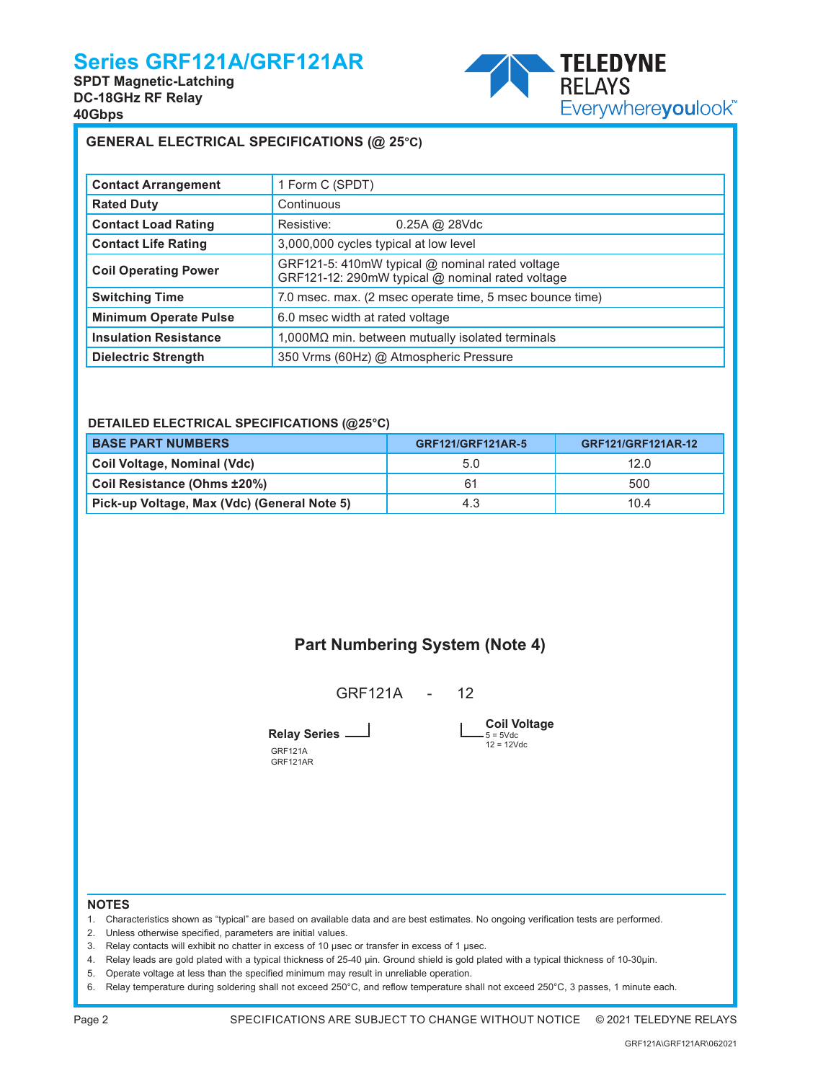**SPDT Magnetic-Latching DC-18GHz RF Relay 40Gbps**



#### **GENERAL ELECTRICAL SPECIFICATIONS (@ 25°C)**

| <b>Contact Arrangement</b>   | 1 Form C (SPDT)                                                                                     |  |
|------------------------------|-----------------------------------------------------------------------------------------------------|--|
| <b>Rated Duty</b>            | Continuous                                                                                          |  |
| <b>Contact Load Rating</b>   | Resistive:<br>$0.25A \omega$ 28Vdc                                                                  |  |
| <b>Contact Life Rating</b>   | 3,000,000 cycles typical at low level                                                               |  |
| <b>Coil Operating Power</b>  | GRF121-5: 410mW typical @ nominal rated voltage<br>GRF121-12: 290mW typical @ nominal rated voltage |  |
| <b>Switching Time</b>        | 7.0 msec. max. (2 msec operate time, 5 msec bounce time)                                            |  |
| <b>Minimum Operate Pulse</b> | 6.0 msec width at rated voltage                                                                     |  |
| <b>Insulation Resistance</b> | 1,000MΩ min. between mutually isolated terminals                                                    |  |
| <b>Dielectric Strength</b>   | 350 Vrms (60Hz) @ Atmospheric Pressure                                                              |  |

#### **DETAILED ELECTRICAL SPECIFICATIONS (@25°C)**

| <b>BASE PART NUMBERS</b>                    | GRF121/GRF121AR-5 | GRF121/GRF121AR-12 |
|---------------------------------------------|-------------------|--------------------|
| Coil Voltage, Nominal (Vdc)                 | 5.0               | 12.0               |
| Coil Resistance (Ohms ±20%)                 | 61                | 500                |
| Pick-up Voltage, Max (Vdc) (General Note 5) | 4.3               | 10.4               |

### **Part Numbering System (Note 4)**

GRF121A - 12

**Relay Series**

GRF121A GRF121AR

**Coil Voltage**  $-5 = 5 \text{Vdc}$ <br> $12 = 12 \text{Vdc}$ 

**NOTES**

- 1. Characteristics shown as "typical" are based on available data and are best estimates. No ongoing verification tests are performed.
- 2. Unless otherwise specified, parameters are initial values.
- 3. Relay contacts will exhibit no chatter in excess of 10 µsec or transfer in excess of 1 µsec.
- 4. Relay leads are gold plated with a typical thickness of 25-40 µin. Ground shield is gold plated with a typical thickness of 10-30µin.
- 5. Operate voltage at less than the specified minimum may result in unreliable operation.
- 6. Relay temperature during soldering shall not exceed 250°C, and reflow temperature shall not exceed 250°C, 3 passes, 1 minute each.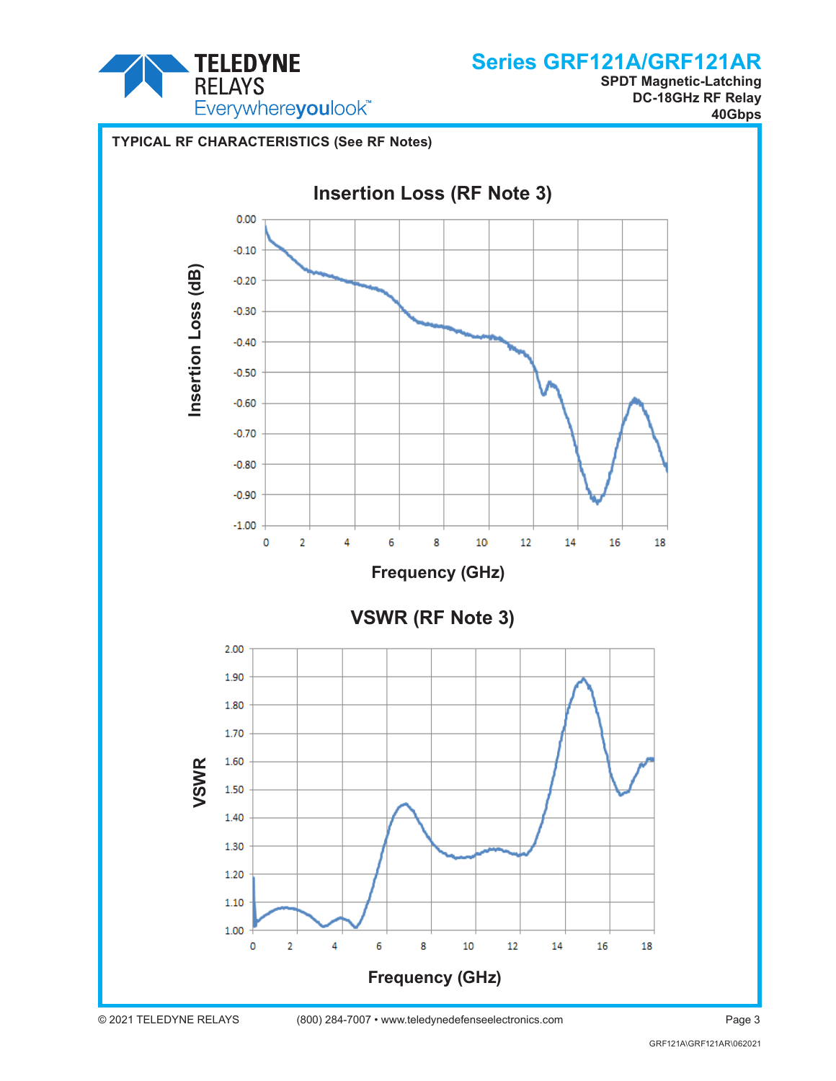

**SPDT Magnetic-Latching DC-18GHz RF Relay 40Gbps**

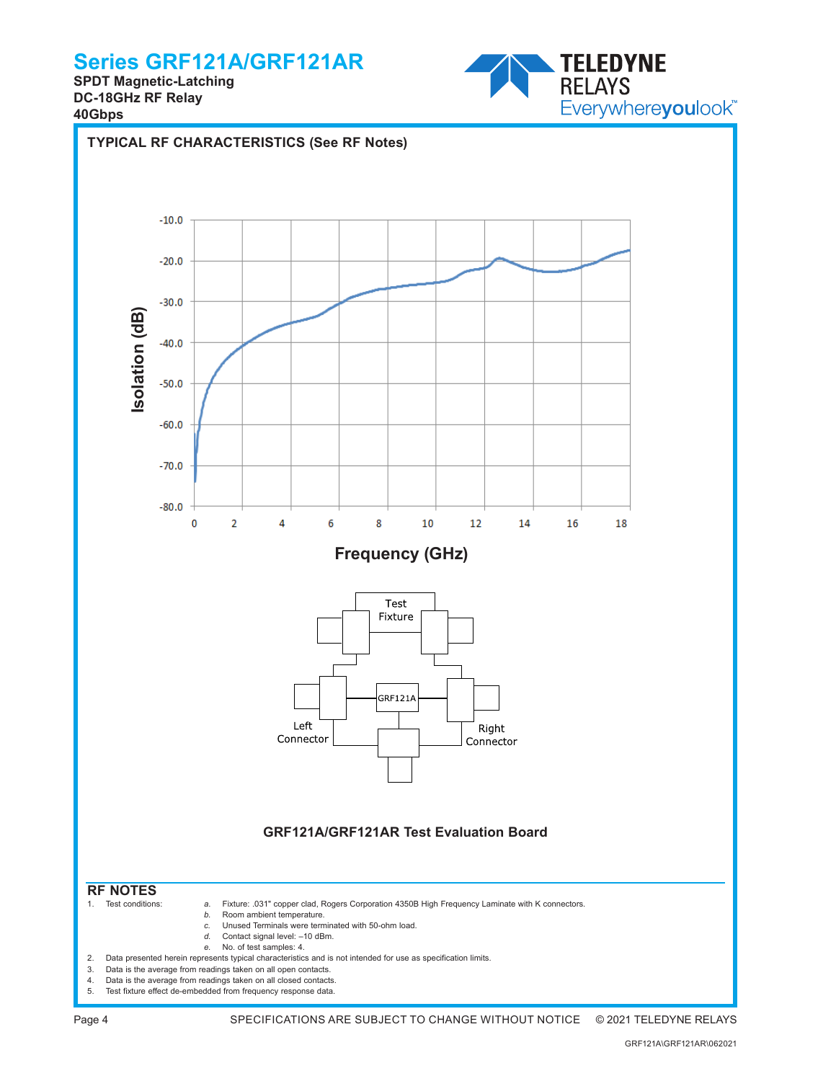**SPDT Magnetic-Latching DC-18GHz RF Relay 40Gbps**





Page 4 SPECIFICATIONS ARE SUBJECT TO CHANGE WITHOUT NOTICE © 2021 TELEDYNE RELAYS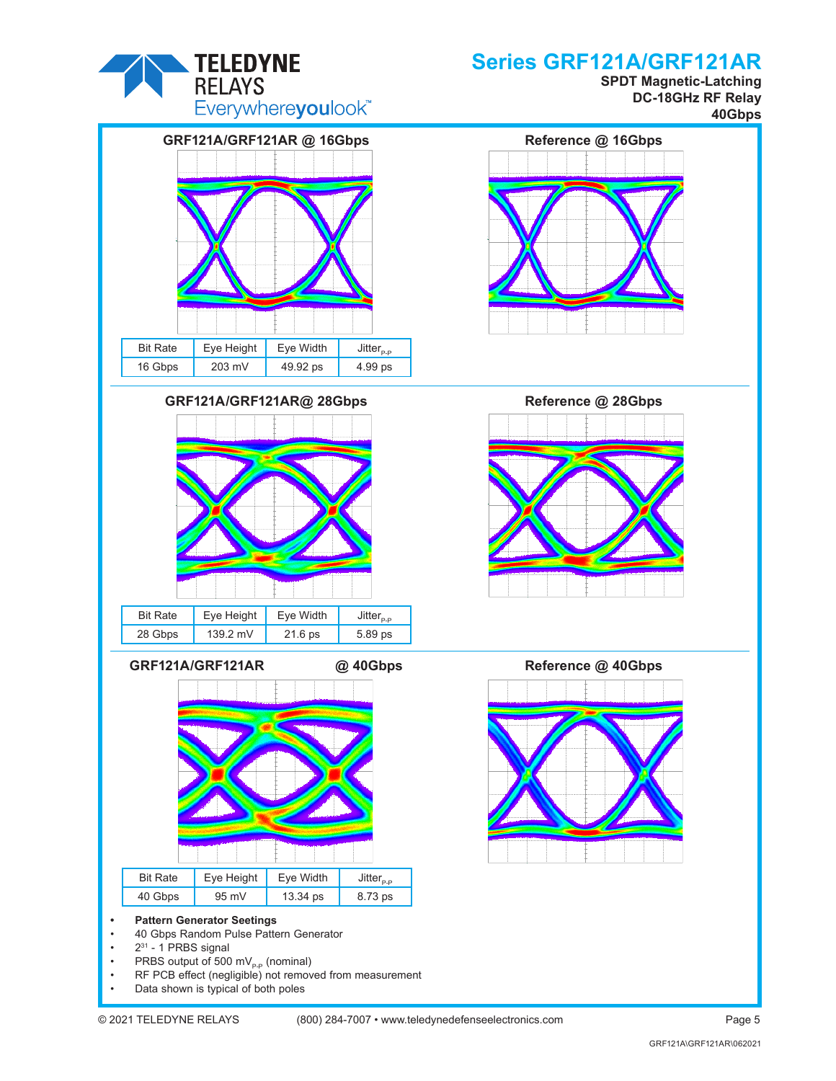

**SPDT Magnetic-Latching DC-18GHz RF Relay 40Gbps**